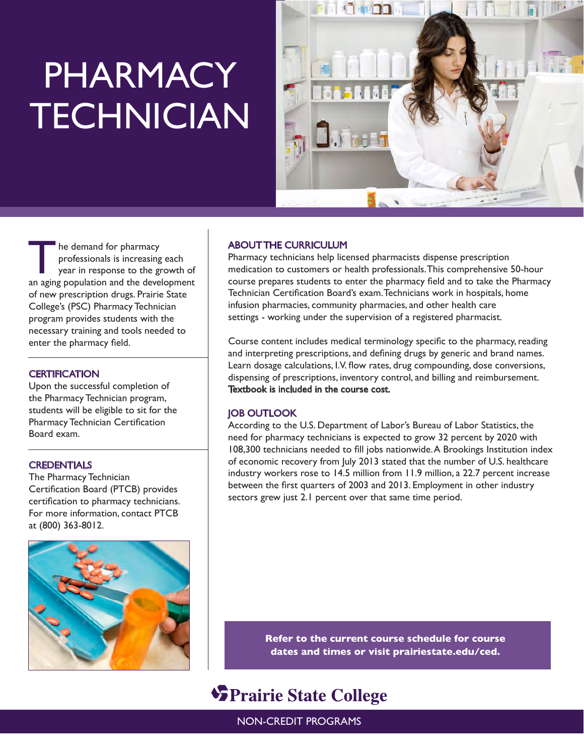## PHARMACY **TECHNICIAN**



The demand for pharmacy<br>
professionals is increasing each<br>
year in response to the growth of<br>
an aging population and the development professionals is increasing each an aging population and the development of new prescription drugs. Prairie State College's (PSC) Pharmacy Technician program provides students with the necessary training and tools needed to enter the pharmacy field.

#### **CERTIFICATION**

Upon the successful completion of the Pharmacy Technician program, students will be eligible to sit for the Pharmacy Technician Certification Board exam.

#### **CREDENTIALS**

The Pharmacy Technician Certification Board (PTCB) provides certification to pharmacy technicians. For more information, contact PTCB at (800) 363-8012.



#### ABOUT THE CURRICULUM

Pharmacy technicians help licensed pharmacists dispense prescription medication to customers or health professionals. This comprehensive 50-hour course prepares students to enter the pharmacy field and to take the Pharmacy Technician Certification Board's exam. Technicians work in hospitals, home infusion pharmacies, community pharmacies, and other health care settings - working under the supervision of a registered pharmacist.

Course content includes medical terminology specific to the pharmacy, reading and interpreting prescriptions, and defining drugs by generic and brand names. Learn dosage calculations, I.V. flow rates, drug compounding, dose conversions, dispensing of prescriptions, inventory control, and billing and reimbursement. Textbook is included in the course cost.

#### JOB OUTLOOK

According to the U.S. Department of Labor's Bureau of Labor Statistics, the need for pharmacy technicians is expected to grow 32 percent by 2020 with 108,300 technicians needed to fill jobs nationwide. A Brookings Institution index of economic recovery from July 2013 stated that the number of U.S. healthcare industry workers rose to 14.5 million from 11.9 million, a 22.7 percent increase between the first quarters of 2003 and 2013. Employment in other industry sectors grew just 2.1 percent over that same time period.

> **Refer to the current course schedule for course dates and times or visit prairiestate.edu/ced.**

### **SPrairie State College**

NON-CREDIT PROGRAMS